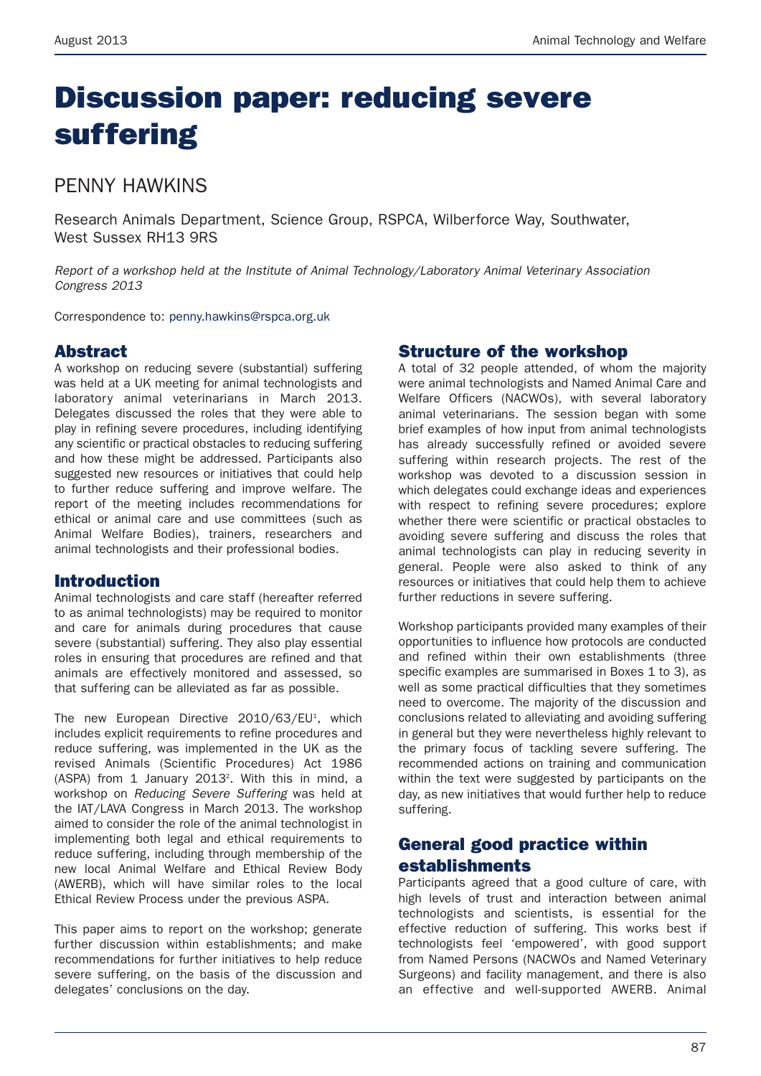# **Discussion paper: reducing severe suffering**

# PENNY HAWKINS

Research Animals Department, Science Group, RSPCA, Wilberforce Way, Southwater, West Sussex RH13 9RS

*Report of a workshop held at the Institute of Animal Technology/Laboratory Animal Veterinary Association Congress 2013*

Correspondence to: penny.hawkins@rspca.org.uk

## **Abstract**

A workshop on reducing severe (substantial) suffering was held at a UK meeting for animal technologists and laboratory animal veterinarians in March 2013. Delegates discussed the roles that they were able to play in refining severe procedures, including identifying any scientific or practical obstacles to reducing suffering and how these might be addressed. Participants also suggested new resources or initiatives that could help to further reduce suffering and improve welfare. The report of the meeting includes recommendations for ethical or animal care and use committees (such as Animal Welfare Bodies), trainers, researchers and animal technologists and their professional bodies.

## **Introduction**

Animal technologists and care staff (hereafter referred to as animal technologists) may be required to monitor and care for animals during procedures that cause severe (substantial) suffering. They also play essential roles in ensuring that procedures are refined and that animals are effectively monitored and assessed, so that suffering can be alleviated as far as possible.

The new European Directive 2010/63/EU<sup>1</sup>, which includes explicit requirements to refine procedures and reduce suffering, was implemented in the UK as the revised Animals (Scientific Procedures) Act 1986  $(ASPA)$  from 1 January 2013<sup>2</sup>. With this in mind, a workshop on *Reducing Severe Suffering* was held at the IAT/LAVA Congress in March 2013. The workshop aimed to consider the role of the animal technologist in implementing both legal and ethical requirements to reduce suffering, including through membership of the new local Animal Welfare and Ethical Review Body (AWERB), which will have similar roles to the local Ethical Review Process under the previous ASPA.

This paper aims to report on the workshop; generate further discussion within establishments; and make recommendations for further initiatives to help reduce severe suffering, on the basis of the discussion and delegates' conclusions on the day.

## **Structure of the workshop**

A total of 32 people attended, of whom the majority were animal technologists and Named Animal Care and Welfare Officers (NACWOs), with several laboratory animal veterinarians. The session began with some brief examples of how input from animal technologists has already successfully refined or avoided severe suffering within research projects. The rest of the workshop was devoted to a discussion session in which delegates could exchange ideas and experiences with respect to refining severe procedures; explore whether there were scientific or practical obstacles to avoiding severe suffering and discuss the roles that animal technologists can play in reducing severity in general. People were also asked to think of any resources or initiatives that could help them to achieve further reductions in severe suffering.

Workshop participants provided many examples of their opportunities to influence how protocols are conducted and refined within their own establishments (three specific examples are summarised in Boxes 1 to 3), as well as some practical difficulties that they sometimes need to overcome. The majority of the discussion and conclusions related to alleviating and avoiding suffering in general but they were nevertheless highly relevant to the primary focus of tackling severe suffering. The recommended actions on training and communication within the text were suggested by participants on the day, as new initiatives that would further help to reduce suffering.

# **General good practice within establishments**

Participants agreed that a good culture of care, with high levels of trust and interaction between animal technologists and scientists, is essential for the effective reduction of suffering. This works best if technologists feel 'empowered', with good support from Named Persons (NACWOs and Named Veterinary Surgeons) and facility management, and there is also an effective and well-supported AWERB. Animal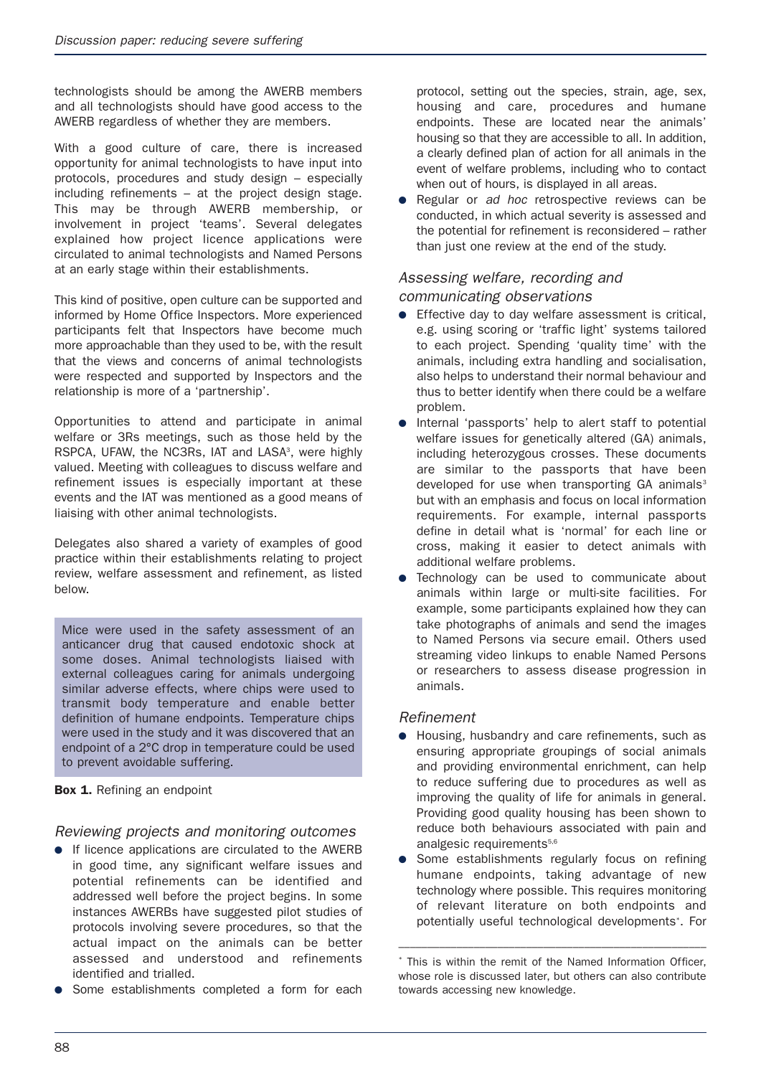technologists should be among the AWERB members and all technologists should have good access to the AWERB regardless of whether they are members.

With a good culture of care, there is increased opportunity for animal technologists to have input into protocols, procedures and study design – especially including refinements – at the project design stage. This may be through AWERB membership, or involvement in project 'teams'. Several delegates explained how project licence applications were circulated to animal technologists and Named Persons at an early stage within their establishments.

This kind of positive, open culture can be supported and informed by Home Office Inspectors. More experienced participants felt that Inspectors have become much more approachable than they used to be, with the result that the views and concerns of animal technologists were respected and supported by Inspectors and the relationship is more of a 'partnership'.

Opportunities to attend and participate in animal welfare or 3Rs meetings, such as those held by the RSPCA, UFAW, the NC3Rs, IAT and LASA<sup>3</sup>, were highly valued. Meeting with colleagues to discuss welfare and refinement issues is especially important at these events and the IAT was mentioned as a good means of liaising with other animal technologists.

Delegates also shared a variety of examples of good practice within their establishments relating to project review, welfare assessment and refinement, as listed below.

Mice were used in the safety assessment of an anticancer drug that caused endotoxic shock at some doses. Animal technologists liaised with external colleagues caring for animals undergoing similar adverse effects, where chips were used to transmit body temperature and enable better definition of humane endpoints. Temperature chips were used in the study and it was discovered that an endpoint of a 2°C drop in temperature could be used to prevent avoidable suffering.

#### **Box 1.** Refining an endpoint

### *Reviewing projects and monitoring outcomes*

- If licence applications are circulated to the AWERB in good time, any significant welfare issues and potential refinements can be identified and addressed well before the project begins. In some instances AWERBs have suggested pilot studies of protocols involving severe procedures, so that the actual impact on the animals can be better assessed and understood and refinements identified and trialled.
- Some establishments completed a form for each

protocol, setting out the species, strain, age, sex, housing and care, procedures and humane endpoints. These are located near the animals' housing so that they are accessible to all. In addition, a clearly defined plan of action for all animals in the event of welfare problems, including who to contact when out of hours, is displayed in all areas.

Regular or *ad hoc* retrospective reviews can be conducted, in which actual severity is assessed and the potential for refinement is reconsidered – rather than just one review at the end of the study.

## *Assessing welfare, recording and communicating observations*

- Effective day to day welfare assessment is critical, e.g. using scoring or 'traffic light' systems tailored to each project. Spending 'quality time' with the animals, including extra handling and socialisation, also helps to understand their normal behaviour and thus to better identify when there could be a welfare problem.
- Internal 'passports' help to alert staff to potential welfare issues for genetically altered (GA) animals, including heterozygous crosses. These documents are similar to the passports that have been developed for use when transporting  $GA$  animals<sup>3</sup> but with an emphasis and focus on local information requirements. For example, internal passports define in detail what is 'normal' for each line or cross, making it easier to detect animals with additional welfare problems.
- Technology can be used to communicate about animals within large or multi-site facilities. For example, some participants explained how they can take photographs of animals and send the images to Named Persons via secure email. Others used streaming video linkups to enable Named Persons or researchers to assess disease progression in animals.

#### *Refinement*

- Housing, husbandry and care refinements, such as ensuring appropriate groupings of social animals and providing environmental enrichment, can help to reduce suffering due to procedures as well as improving the quality of life for animals in general. Providing good quality housing has been shown to reduce both behaviours associated with pain and analgesic requirements<sup>5,6</sup>
- Some establishments regularly focus on refining humane endpoints, taking advantage of new technology where possible. This requires monitoring of relevant literature on both endpoints and potentially useful technological developments\* . For

–––––––––––––––––––––––––––––––––––––––––––––––––––––

This is within the remit of the Named Information Officer, whose role is discussed later, but others can also contribute towards accessing new knowledge.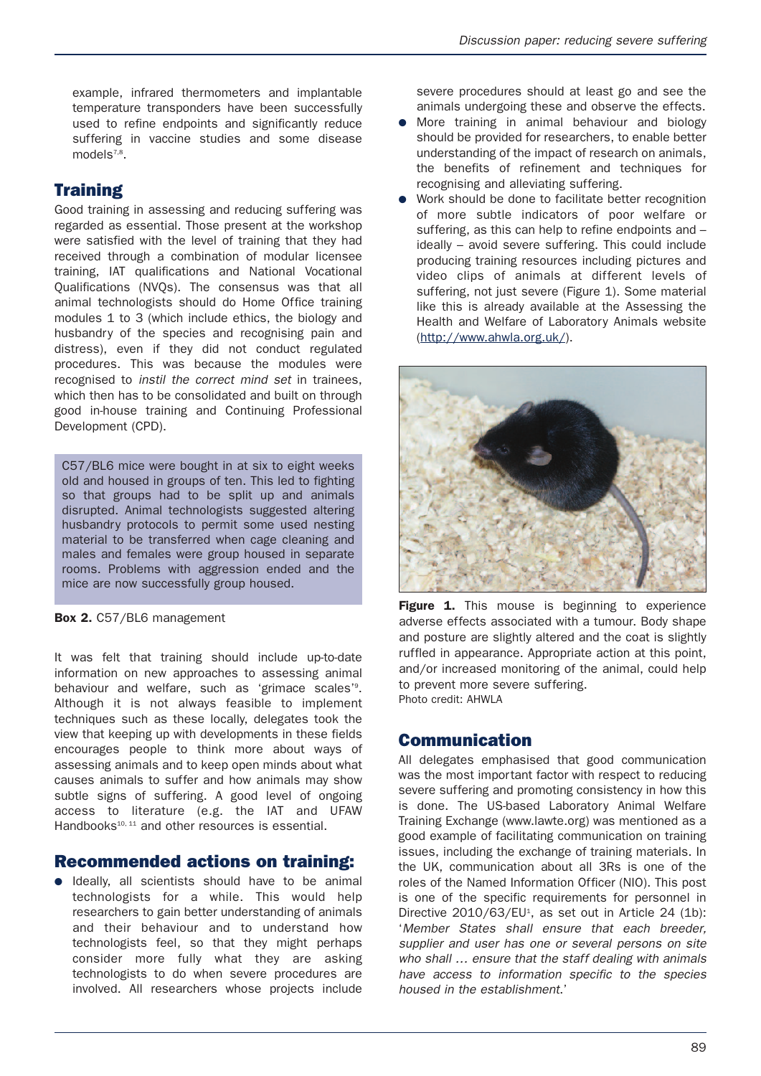example, infrared thermometers and implantable temperature transponders have been successfully used to refine endpoints and significantly reduce suffering in vaccine studies and some disease models<sup>7,8</sup>.

# **Training**

Good training in assessing and reducing suffering was regarded as essential. Those present at the workshop were satisfied with the level of training that they had received through a combination of modular licensee training, IAT qualifications and National Vocational Qualifications (NVQs). The consensus was that all animal technologists should do Home Office training modules 1 to 3 (which include ethics, the biology and husbandry of the species and recognising pain and distress), even if they did not conduct regulated procedures. This was because the modules were recognised to *instil the correct mind set* in trainees, which then has to be consolidated and built on through good in-house training and Continuing Professional Development (CPD).

C57/BL6 mice were bought in at six to eight weeks old and housed in groups of ten. This led to fighting so that groups had to be split up and animals disrupted. Animal technologists suggested altering husbandry protocols to permit some used nesting material to be transferred when cage cleaning and males and females were group housed in separate rooms. Problems with aggression ended and the mice are now successfully group housed.

#### **Box 2.** C57/BL6 management

It was felt that training should include up-to-date information on new approaches to assessing animal behaviour and welfare, such as 'grimace scales'<sup>9</sup>. Although it is not always feasible to implement techniques such as these locally, delegates took the view that keeping up with developments in these fields encourages people to think more about ways of assessing animals and to keep open minds about what causes animals to suffer and how animals may show subtle signs of suffering. A good level of ongoing access to literature (e.g. the IAT and UFAW Handbooks $10, 11$  and other resources is essential.

## **Recommended actions on training:**

● Ideally, all scientists should have to be animal technologists for a while. This would help researchers to gain better understanding of animals and their behaviour and to understand how technologists feel, so that they might perhaps consider more fully what they are asking technologists to do when severe procedures are involved. All researchers whose projects include severe procedures should at least go and see the animals undergoing these and observe the effects.

- More training in animal behaviour and biology should be provided for researchers, to enable better understanding of the impact of research on animals, the benefits of refinement and techniques for recognising and alleviating suffering.
- Work should be done to facilitate better recognition of more subtle indicators of poor welfare or suffering, as this can help to refine endpoints and – ideally – avoid severe suffering. This could include producing training resources including pictures and video clips of animals at different levels of suffering, not just severe (Figure 1). Some material like this is already available at the Assessing the Health and Welfare of Laboratory Animals website (http://www.ahwla.org.uk/).



**Figure 1.** This mouse is beginning to experience adverse effects associated with a tumour. Body shape and posture are slightly altered and the coat is slightly ruffled in appearance. Appropriate action at this point, and/or increased monitoring of the animal, could help to prevent more severe suffering. Photo credit: AHWLA

# **Communication**

All delegates emphasised that good communication was the most important factor with respect to reducing severe suffering and promoting consistency in how this is done. The US-based Laboratory Animal Welfare Training Exchange (www.lawte.org) was mentioned as a good example of facilitating communication on training issues, including the exchange of training materials. In the UK, communication about all 3Rs is one of the roles of the Named Information Officer (NIO). This post is one of the specific requirements for personnel in Directive 2010/63/EU<sup>1</sup>, as set out in Article 24 (1b): '*Member States shall ensure that each breeder, supplier and user has one or several persons on site who shall … ensure that the staff dealing with animals have access to information specific to the species housed in the establishment*.'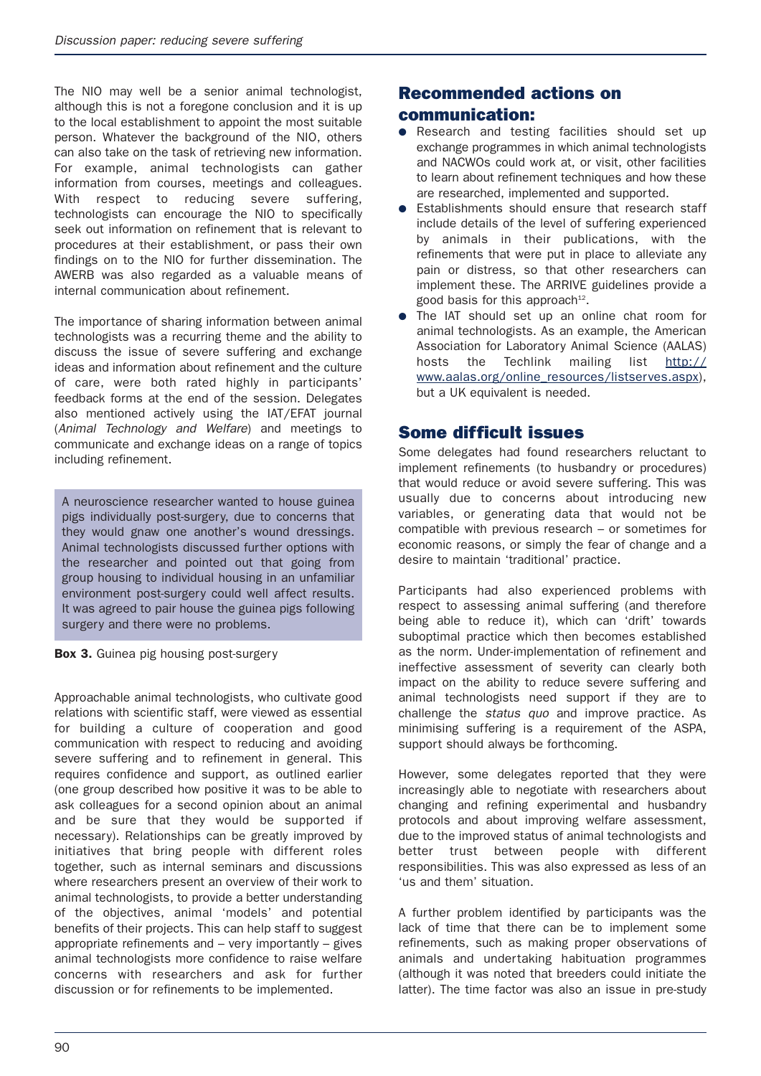The NIO may well be a senior animal technologist, although this is not a foregone conclusion and it is up to the local establishment to appoint the most suitable person. Whatever the background of the NIO, others can also take on the task of retrieving new information. For example, animal technologists can gather information from courses, meetings and colleagues. With respect to reducing severe suffering, technologists can encourage the NIO to specifically seek out information on refinement that is relevant to procedures at their establishment, or pass their own findings on to the NIO for further dissemination. The AWERB was also regarded as a valuable means of internal communication about refinement.

The importance of sharing information between animal technologists was a recurring theme and the ability to discuss the issue of severe suffering and exchange ideas and information about refinement and the culture of care, were both rated highly in participants' feedback forms at the end of the session. Delegates also mentioned actively using the IAT/EFAT journal (*Animal Technology and Welfare*) and meetings to communicate and exchange ideas on a range of topics including refinement.

A neuroscience researcher wanted to house guinea pigs individually post-surgery, due to concerns that they would gnaw one another's wound dressings. Animal technologists discussed further options with the researcher and pointed out that going from group housing to individual housing in an unfamiliar environment post-surgery could well affect results. It was agreed to pair house the guinea pigs following surgery and there were no problems.

#### **Box 3.** Guinea pig housing post-surgery

Approachable animal technologists, who cultivate good relations with scientific staff, were viewed as essential for building a culture of cooperation and good communication with respect to reducing and avoiding severe suffering and to refinement in general. This requires confidence and support, as outlined earlier (one group described how positive it was to be able to ask colleagues for a second opinion about an animal and be sure that they would be supported if necessary). Relationships can be greatly improved by initiatives that bring people with different roles together, such as internal seminars and discussions where researchers present an overview of their work to animal technologists, to provide a better understanding of the objectives, animal 'models' and potential benefits of their projects. This can help staff to suggest appropriate refinements and – very importantly – gives animal technologists more confidence to raise welfare concerns with researchers and ask for further discussion or for refinements to be implemented.

## **Recommended actions on**

## **communication:**

- Research and testing facilities should set up exchange programmes in which animal technologists and NACWOs could work at, or visit, other facilities to learn about refinement techniques and how these are researched, implemented and supported.
- Establishments should ensure that research staff include details of the level of suffering experienced by animals in their publications, with the refinements that were put in place to alleviate any pain or distress, so that other researchers can implement these. The ARRIVE guidelines provide a good basis for this approach $12$ .
- The IAT should set up an online chat room for animal technologists. As an example, the American Association for Laboratory Animal Science (AALAS) hosts the Techlink mailing list http:// www.aalas.org/online\_resources/listserves.aspx), but a UK equivalent is needed.

## **Some difficult issues**

Some delegates had found researchers reluctant to implement refinements (to husbandry or procedures) that would reduce or avoid severe suffering. This was usually due to concerns about introducing new variables, or generating data that would not be compatible with previous research – or sometimes for economic reasons, or simply the fear of change and a desire to maintain 'traditional' practice.

Participants had also experienced problems with respect to assessing animal suffering (and therefore being able to reduce it), which can 'drift' towards suboptimal practice which then becomes established as the norm. Under-implementation of refinement and ineffective assessment of severity can clearly both impact on the ability to reduce severe suffering and animal technologists need support if they are to challenge the *status quo* and improve practice. As minimising suffering is a requirement of the ASPA, support should always be forthcoming.

However, some delegates reported that they were increasingly able to negotiate with researchers about changing and refining experimental and husbandry protocols and about improving welfare assessment, due to the improved status of animal technologists and better trust between people with different responsibilities. This was also expressed as less of an 'us and them' situation.

A further problem identified by participants was the lack of time that there can be to implement some refinements, such as making proper observations of animals and undertaking habituation programmes (although it was noted that breeders could initiate the latter). The time factor was also an issue in pre-study